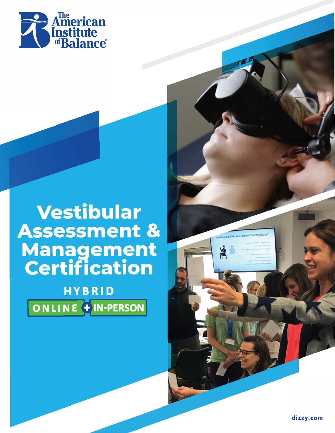

# **Vestibular Assessment & Management**<br>Certification

**HYBRID** ONLINE TIN-PERSON

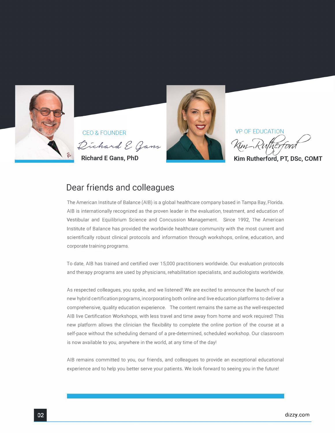

CEO & FOUNDER VP OF EDUCATION Dichard E Gans





Kim-Rufterford

**Kim Rutherford, PT, DSc, COMT** 

### **Dear friends and colleagues**

The American Institute of Balance (AIB) is a global healthcare company based in Tampa Bay, Florida. AIB is internationally recognized as the proven leader in the evaluation, treatment, and education of Vestibular and Equilibrium Science and Concussion Management. Since 1992, The American Institute of Balance has provided the worldwide healthcare community with the most current and scientifically robust clinical protocols and information through workshops, online, education, and corporate training programs.

To date, AIB has trained and certified over 15,000 practitioners worldwide. Our evaluation protocols and therapy programs are used by physicians, rehabilitation specialists, and audiologists worldwide.

As respected colleagues, you spoke, and we listened! We are excited to announce the launch of our new hybrid certification programs, incorporating both online and live education platforms to deliver a comprehensive, quality education experience. The content remains the same as the well-respected AIB live Certification Workshops, with less travel and time away from home and work required! This new platform allows the clinician the flexibility to complete the online portion of the course at a self-pace without the scheduling demand of a pre-determined, scheduled workshop. Our classroom is now available to you, anywhere in the world, at any time of the day!

AIB remains committed to you, our friends, and colleagues to provide an exceptional educational experience and to help you better serve your patients. We look forward to seeing you in the future!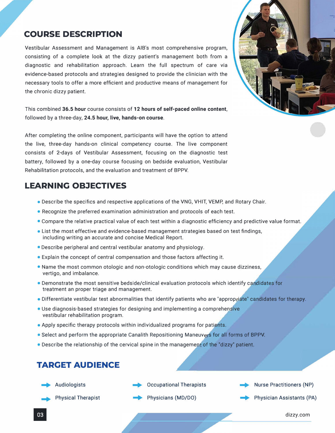### **COURSE DESCRIPTION**

Vestibular Assessment and Management is AIB's most comprehensive program, consisting of a complete look at the dizzy patient's management both from a diagnostic and rehabilitation approach. Learn the full spectrum of care via evidence-based protocols and strategies designed to provide the clinician with the necessary tools to offer a more efficient and productive means of management for the chronic dizzy patient.

This combined **36.5 hour** course consists of **12 hours of self-paced online content,**  followed by a three-day, **24.5 hour, live, hands-on course.** 

After completing the online component, participants will have the option to attend the live, three-day hands-on clinical competency course. The live component consists of 2-days of Vestibular Assessment, focusing on the diagnostic test battery, followed by a one-day course focusing on bedside evaluation, Vestibular Rehabilitation protocols, and the evaluation and treatment of BPPV.

### **LEARNING OBJECTIVES**

- Describe the specifics and respective applications of the VNG, VHIT, VEMP, and Rotary Chair.
- Recognize the preferred examination administration and protocols of each test.
- Compare the relative practical value of each test within a diagnostic efficiency and predictive value format.
- List the most effective and evidence-based management strategies based on test findings, including writing an accurate and concise Medical Report.
- Describe peripheral and central vestibular anatomy and physiology.
- Explain the concept of central compensation and those factors affecting it.
- Name the most common otologic and non-otologic conditions which may cause dizziness, vertigo, and imbalance.
- **Demonstrate the most sensitive bedside/clinical evaluation protocols which identify candidates for** treatment an proper triage and management.
- Differentiate vestibular test abnormalities that identify patients who are "appropriate" candidates for therapy.
- Use diagnosis-based strategies for designing and implementing a comprehensive vestibular rehabilitation program.
- Apply specific therapy protocols within individualized programs for patients.
- **Select and perform the appropriate Canalith Repositioning Maneuvers for all forms of BPPV.**
- Describe the relationship of the cervical spine in the management of the "dizzy" patient.

### **TARCET AUDIENCE**





- ➔ Occupational Therapists
- Physicians (MD/DO)



➔ Physician Assistants (PA)



dizzy.com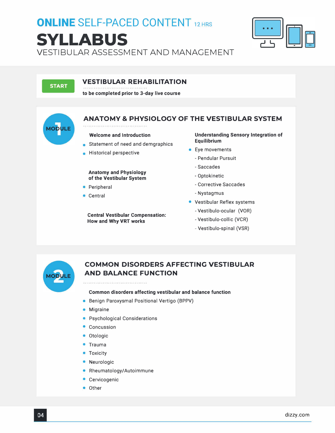### **ONLINE SELF-PACED CONTENT 12 HRS SYLLABUS**  VESTIBULAR ASSESSMENT AND MANAGEMENT



**START** 

**MODULE** 

### **VESTIBULAR REHABILITATION**

**to be completed prior to 3-day live course** 

#### **ANATOMY & PHYSIOLOGY OF THE VESTIBULAR SYSTEM**  ................................

#### **Welcome and Introduction**

- Statement of need and demgraphics
- Historical perspective

#### **Anatomy and Physiology of the Vestibular System**

- Peripheral
- Central

**Central Vestibular Compensation: How and Why VRT works** 

**Understanding Sensory Integration of Equilibrium** 

- **•** Eye movements
	- Pendular Pursuit
	- Saccades
	- Optokinetic
	- Corrective Saccades
	- Nystagmus
- Vestibular Reflex systems
	- Vestibulo-ocular (VOR)
	- Vestibulo-collic (VCR)
	- Vestibulo-spinal (VSR)



### **COMMON DISORDERS AFFECTING VESTIBULAR AND BALANCE FUNCTION**

#### **Common disorders affecting vestibular and balance function**

- Benign Paroxysmal Positional Vertigo (BPPV)
- Migraine
- Psychological Considerations
- Concussion
- Otologic
- Trauma
- Toxicity
- Neurologic
- Rheumatology/Autoimmune
- **Cervicogenic**
- Other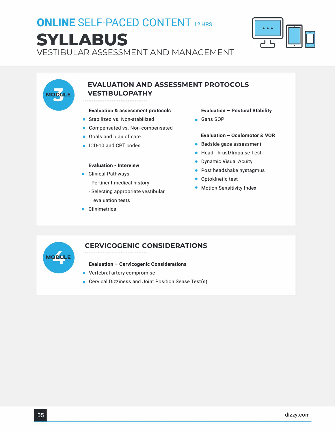### dizzy.com

### **ONLINE SELF-PACED CONTENT 12 HRS SYLLABUS**  VESTIBULAR ASSESSMENT AND MANAGEMENT





### **Evaluation & assessment protocols**

\*\*\*\*\*\*\*\*\*\*\*\*\*\*\*\*\*\*\*\*\*\*\*\*\*\*

- Stabilized vs. Non-stabilized
- Compensated vs. Non-compensated
- Goals and plan of care
- ICD-10 and CPT codes

### **Evaluation - Interview**

- Clinical Pathways
	- Pertinent medical history
	- Selecting appropriate vestibular evaluation tests
- Clinimetrics

### **Evaluation - Postural Stability**

• Gans SOP

### **Evaluation - Oculomotor & VOR**

- Bedside gaze assessment
- Head Thrust/Impulse Test
- Dynamic Visual Acuity
- Post headshake nystagmus
- Optokinetic test
- Motion Sensitivity Index



**MODULE** 

### **CERVICOGENIC CONSIDERATIONS**

### **Evaluation - Cervicogenic Considerations**

- Vertebral artery compromise
- Cervical Dizziness and Joint Position Sense Test(s)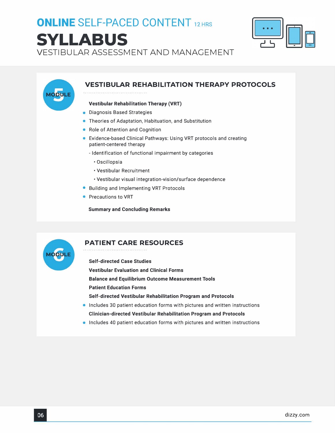# **ONLINE SELF-PACED CONTENT 12 HRS SYLLABUS**



VESTIBULAR ASSESSMENT AND MANAGEMENT



**Self-directed Case Studies Vestibular Evaluation and Clinical Forms Balance and Equilibrium Outcome Measurement Tools Patient Education Forms Self-directed Vestibular Rehabilitation Program and Protocols** 

- Includes 30 patient education forms with pictures and written instructions **Clinician-directed Vestibular Rehabilitation Program and Protocols**
- Includes 40 patient education forms with pictures and written instructions

**MODUL**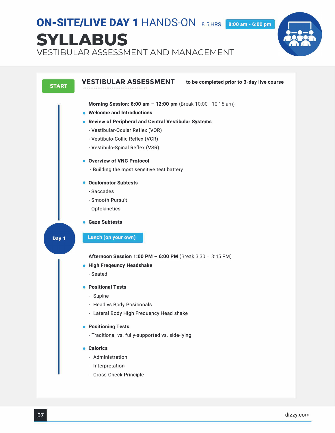# **ON-SITE/LIVE DAV 1** HANDS-ON 8.5HRS **8:00 am - 6:00 pm SYLLABUS**

VESTIBULAR ASSESSMENT AND MANAGEMENT

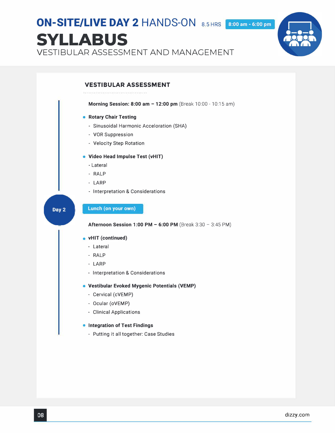## **ON-SITE/LIVE DAV 2** HANDS-ON 8.5HRS **8:00 am - 6:00 pm SYLLABUS**

VESTIBULAR ASSESSMENT AND MANAGEMENT

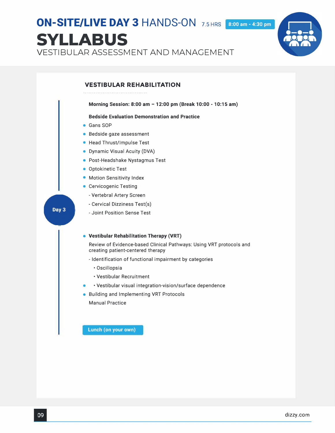# **ON-SITE/LIVE DAV 3 HANDS-ON** 7.5HRS **8:00 am - 4:30 pm SYLLABUS**

VESTIBULAR ASSESSMENT AND MANAGEMENT